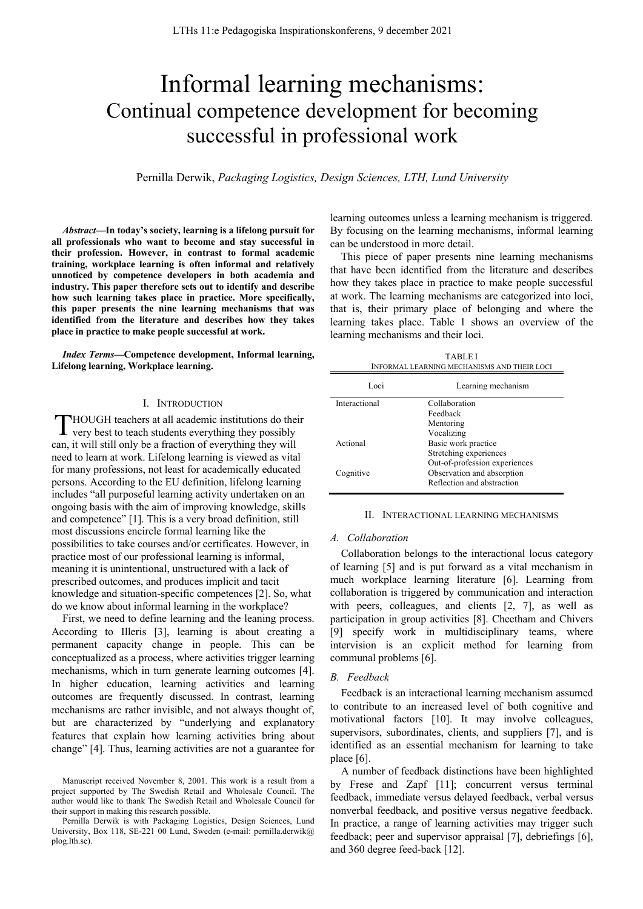# Informal learning mechanisms: Continual competence development for becoming successful in professional work

Pernilla Derwik, *Packaging Logistics, Design Sciences, LTH, Lund University*

Ē,

*Abstract***—In today's society, learning is a lifelong pursuit for all professionals who want to become and stay successful in their profession. However, in contrast to formal academic training, workplace learning is often informal and relatively unnoticed by competence developers in both academia and industry. This paper therefore sets out to identify and describe how such learning takes place in practice. More specifically, this paper presents the nine learning mechanisms that was identified from the literature and describes how they takes place in practice to make people successful at work.**

*Index Terms***—Competence development, Informal learning, Lifelong learning, Workplace learning.**

#### I. INTRODUCTION

HOUGH teachers at all academic institutions do their very best to teach students everything they possibly can, it will still only be a fraction of everything they will need to learn at work. Lifelong learning is viewed as vital for many professions, not least for academically educated persons. According to the EU definition, lifelong learning includes "all purposeful learning activity undertaken on an ongoing basis with the aim of improving knowledge, skills and competence" [1]. This is a very broad definition, still most discussions encircle formal learning like the possibilities to take courses and/or certificates. However, in practice most of our professional learning is informal, meaning it is unintentional, unstructured with a lack of prescribed outcomes, and produces implicit and tacit knowledge and situation-specific competences [2]. So, what do we know about informal learning in the workplace? T

First, we need to define learning and the leaning process. According to Illeris [3], learning is about creating a permanent capacity change in people. This can be conceptualized as a process, where activities trigger learning mechanisms, which in turn generate learning outcomes [4]. In higher education, learning activities and learning outcomes are frequently discussed. In contrast, learning mechanisms are rather invisible, and not always thought of, but are characterized by "underlying and explanatory features that explain how learning activities bring about change" [4]. Thus, learning activities are not a guarantee for learning outcomes unless a learning mechanism is triggered. By focusing on the learning mechanisms, informal learning can be understood in more detail.

This piece of paper presents nine learning mechanisms that have been identified from the literature and describes how they takes place in practice to make people successful at work. The learning mechanisms are categorized into loci, that is, their primary place of belonging and where the learning takes place. Table 1 shows an overview of the learning mechanisms and their loci.

| <b>TABLE I</b><br>INFORMAL LEARNING MECHANISMS AND THEIR LOCI |                        |
|---------------------------------------------------------------|------------------------|
| Loci                                                          | Learning mechanism     |
| Interactional                                                 | Collaboration          |
|                                                               | Feedback               |
|                                                               | Mentoring              |
|                                                               | Vocalizing             |
| Actional                                                      | Basic work practice    |
|                                                               | Stretching experiences |

Cognitive Observation and absorption

# II. INTERACTIONAL LEARNING MECHANISMS

Out-of-profession experiences

Reflection and abstraction

#### *A. Collaboration*

Collaboration belongs to the interactional locus category of learning [5] and is put forward as a vital mechanism in much workplace learning literature [6]. Learning from collaboration is triggered by communication and interaction with peers, colleagues, and clients [2, 7], as well as participation in group activities [8]. Cheetham and Chivers [9] specify work in multidisciplinary teams, where intervision is an explicit method for learning from communal problems [6].

#### *B. Feedback*

Feedback is an interactional learning mechanism assumed to contribute to an increased level of both cognitive and motivational factors [10]. It may involve colleagues, supervisors, subordinates, clients, and suppliers [7], and is identified as an essential mechanism for learning to take place [6].

A number of feedback distinctions have been highlighted by Frese and Zapf [11]; concurrent versus terminal feedback, immediate versus delayed feedback, verbal versus nonverbal feedback, and positive versus negative feedback. In practice, a range of learning activities may trigger such feedback; peer and supervisor appraisal [7], debriefings [6], and 360 degree feed-back [12].

Manuscript received November 8, 2001. This work is a result from a project supported by The Swedish Retail and Wholesale Council. The author would like to thank The Swedish Retail and Wholesale Council for their support in making this research possible.

Pernilla Derwik is with Packaging Logistics, Design Sciences, Lund University, Box 118, SE-221 00 Lund, Sweden (e-mail: pernilla.derwik@ plog.lth.se).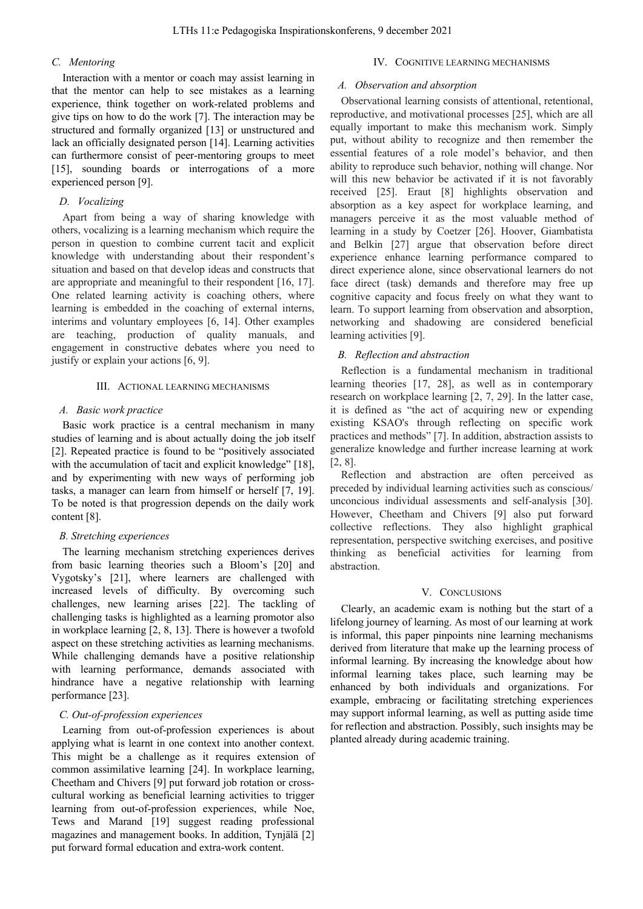#### *C. Mentoring*

Interaction with a mentor or coach may assist learning in that the mentor can help to see mistakes as a learning experience, think together on work-related problems and give tips on how to do the work [7]. The interaction may be structured and formally organized [13] or unstructured and lack an officially designated person [14]. Learning activities can furthermore consist of peer-mentoring groups to meet [15], sounding boards or interrogations of a more experienced person [9].

#### *D. Vocalizing*

Apart from being a way of sharing knowledge with others, vocalizing is a learning mechanism which require the person in question to combine current tacit and explicit knowledge with understanding about their respondent's situation and based on that develop ideas and constructs that are appropriate and meaningful to their respondent [16, 17]. One related learning activity is coaching others, where learning is embedded in the coaching of external interns, interims and voluntary employees [6, 14]. Other examples are teaching, production of quality manuals, and engagement in constructive debates where you need to justify or explain your actions [6, 9].

#### III. ACTIONAL LEARNING MECHANISMS

#### *A. Basic work practice*

Basic work practice is a central mechanism in many studies of learning and is about actually doing the job itself [2]. Repeated practice is found to be "positively associated with the accumulation of tacit and explicit knowledge" [18], and by experimenting with new ways of performing job tasks, a manager can learn from himself or herself [7, 19]. To be noted is that progression depends on the daily work content [8].

#### *B. Stretching experiences*

The learning mechanism stretching experiences derives from basic learning theories such a Bloom's [20] and Vygotsky's [21], where learners are challenged with increased levels of difficulty. By overcoming such challenges, new learning arises [22]. The tackling of challenging tasks is highlighted as a learning promotor also in workplace learning [2, 8, 13]. There is however a twofold aspect on these stretching activities as learning mechanisms. While challenging demands have a positive relationship with learning performance, demands associated with hindrance have a negative relationship with learning performance [23].

### *C. Out-of-profession experiences*

Learning from out-of-profession experiences is about applying what is learnt in one context into another context. This might be a challenge as it requires extension of common assimilative learning [24]. In workplace learning, Cheetham and Chivers [9] put forward job rotation or crosscultural working as beneficial learning activities to trigger learning from out-of-profession experiences, while Noe, Tews and Marand [19] suggest reading professional magazines and management books. In addition, Tynjälä [2] put forward formal education and extra-work content.

## IV. COGNITIVE LEARNING MECHANISMS

#### *A. Observation and absorption*

Observational learning consists of attentional, retentional, reproductive, and motivational processes [25], which are all equally important to make this mechanism work. Simply put, without ability to recognize and then remember the essential features of a role model's behavior, and then ability to reproduce such behavior, nothing will change. Nor will this new behavior be activated if it is not favorably received [25]. Eraut [8] highlights observation and absorption as a key aspect for workplace learning, and managers perceive it as the most valuable method of learning in a study by Coetzer [26]. Hoover, Giambatista and Belkin [27] argue that observation before direct experience enhance learning performance compared to direct experience alone, since observational learners do not face direct (task) demands and therefore may free up cognitive capacity and focus freely on what they want to learn. To support learning from observation and absorption, networking and shadowing are considered beneficial learning activities [9].

#### *B. Reflection and abstraction*

Reflection is a fundamental mechanism in traditional learning theories [17, 28], as well as in contemporary research on workplace learning [2, 7, 29]. In the latter case, it is defined as "the act of acquiring new or expending existing KSAO's through reflecting on specific work practices and methods" [7]. In addition, abstraction assists to generalize knowledge and further increase learning at work [2, 8].

Reflection and abstraction are often perceived as preceded by individual learning activities such as conscious/ unconcious individual assessments and self-analysis [30]. However, Cheetham and Chivers [9] also put forward collective reflections. They also highlight graphical representation, perspective switching exercises, and positive thinking as beneficial activities for learning from abstraction.

# V. CONCLUSIONS

Clearly, an academic exam is nothing but the start of a lifelong journey of learning. As most of our learning at work is informal, this paper pinpoints nine learning mechanisms derived from literature that make up the learning process of informal learning. By increasing the knowledge about how informal learning takes place, such learning may be enhanced by both individuals and organizations. For example, embracing or facilitating stretching experiences may support informal learning, as well as putting aside time for reflection and abstraction. Possibly, such insights may be planted already during academic training.